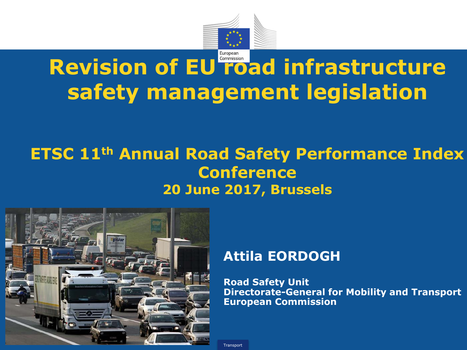

# **Revision of EU road infrastructure safety management legislation**

## **ETSC 11th Annual Road Safety Performance Index Conference 20 June 2017, Brussels**



#### **Attila EORDOGH**

**Road Safety Unit Directorate-General for Mobility and Transport European Commission**

**Transport**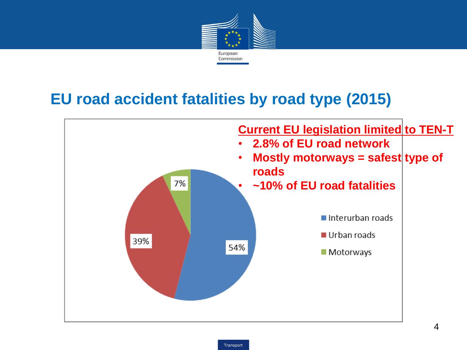

## **EU road accident fatalities by road type (2015)**

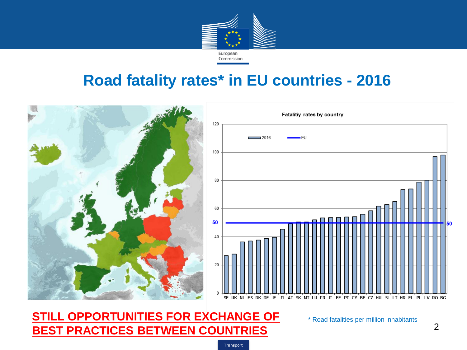

## **Road fatality rates\* in EU countries - 2016**



**Transport** 

**STILL OPPORTUNITIES FOR EXCHANGE OF BEST PRACTICES BETWEEN COUNTRIES**

\* Road fatalities per million inhabitants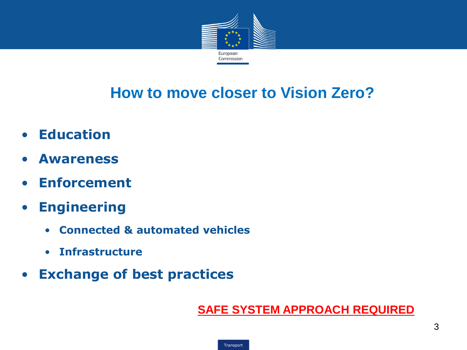

# **How to move closer to Vision Zero?**

- **Education**
- **Awareness**
- **Enforcement**
- **Engineering**
	- **Connected & automated vehicles**
	- **Infrastructure**
- **Exchange of best practices**

#### **SAFE SYSTEM APPROACH REQUIRED**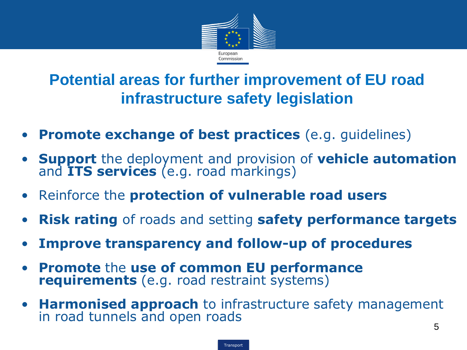

# **Potential areas for further improvement of EU road infrastructure safety legislation**

- **Promote exchange of best practices** (e.g. guidelines)
- **Support** the deployment and provision of **vehicle automation** and **ITS services** (e.g. road markings)
- Reinforce the **protection of vulnerable road users**
- **Risk rating** of roads and setting **safety performance targets**
- **Improve transparency and follow-up of procedures**
- **Promote** the **use of common EU performance requirements** (e.g. road restraint systems)
- **Harmonised approach** to infrastructure safety management in road tunnels and open roads